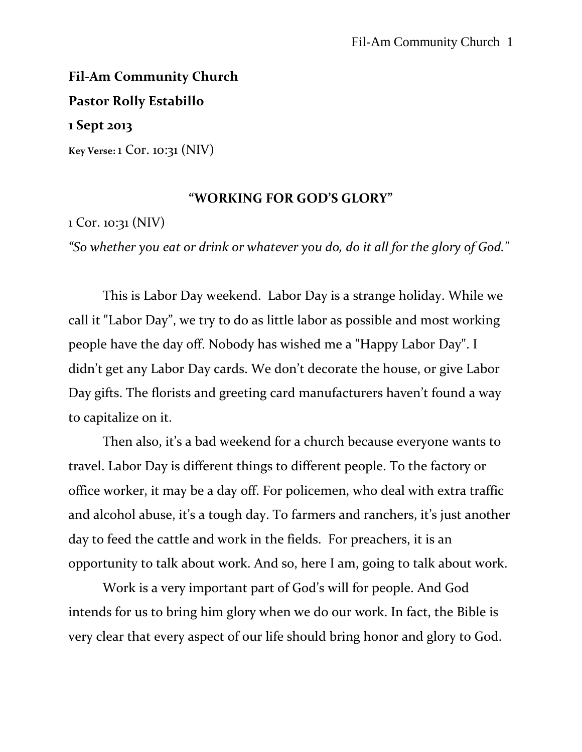# **Fil-Am Community Church Pastor Rolly Estabillo 1 Sept 2013**

**Key Verse:** 1 Cor. 10:31 (NIV)

### **"WORKING FOR GOD'S GLORY"**

1 Cor. 10:31 (NIV)

*"So whether you eat or drink or whatever you do, do it all for the glory of God."*

This is Labor Day weekend. Labor Day is a strange holiday. While we call it "Labor Day", we try to do as little labor as possible and most working people have the day off. Nobody has wished me a "Happy Labor Day". I didn't get any Labor Day cards. We don't decorate the house, or give Labor Day gifts. The florists and greeting card manufacturers haven't found a way to capitalize on it.

Then also, it's a bad weekend for a church because everyone wants to travel. Labor Day is different things to different people. To the factory or office worker, it may be a day off. For policemen, who deal with extra traffic and alcohol abuse, it's a tough day. To farmers and ranchers, it's just another day to feed the cattle and work in the fields. For preachers, it is an opportunity to talk about work. And so, here I am, going to talk about work.

Work is a very important part of God's will for people. And God intends for us to bring him glory when we do our work. In fact, the Bible is very clear that every aspect of our life should bring honor and glory to God.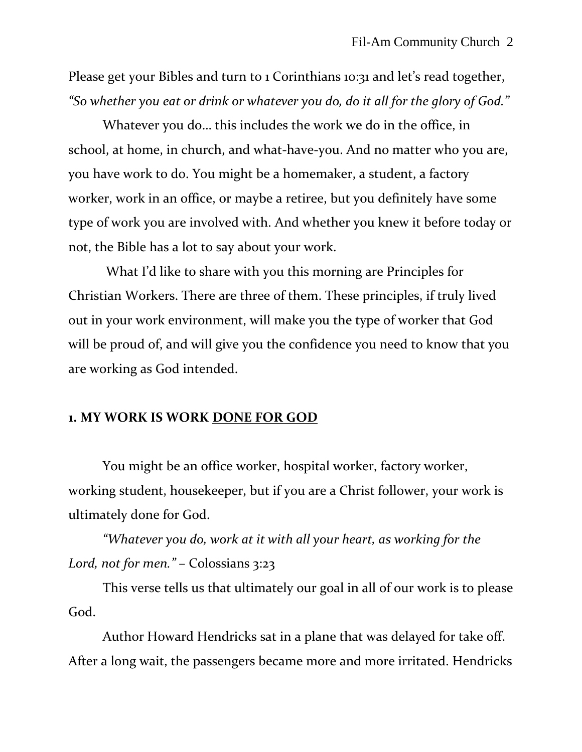Please get your Bibles and turn to 1 Corinthians 10:31 and let's read together, *"So whether you eat or drink or whatever you do, do it all for the glory of God."*

Whatever you do… this includes the work we do in the office, in school, at home, in church, and what-have-you. And no matter who you are, you have work to do. You might be a homemaker, a student, a factory worker, work in an office, or maybe a retiree, but you definitely have some type of work you are involved with. And whether you knew it before today or not, the Bible has a lot to say about your work.

What I'd like to share with you this morning are Principles for Christian Workers. There are three of them. These principles, if truly lived out in your work environment, will make you the type of worker that God will be proud of, and will give you the confidence you need to know that you are working as God intended.

#### **1. MY WORK IS WORK DONE FOR GOD**

You might be an office worker, hospital worker, factory worker, working student, housekeeper, but if you are a Christ follower, your work is ultimately done for God.

*"Whatever you do, work at it with all your heart, as working for the Lord, not for men."* – Colossians 3:23

This verse tells us that ultimately our goal in all of our work is to please God.

Author Howard Hendricks sat in a plane that was delayed for take off. After a long wait, the passengers became more and more irritated. Hendricks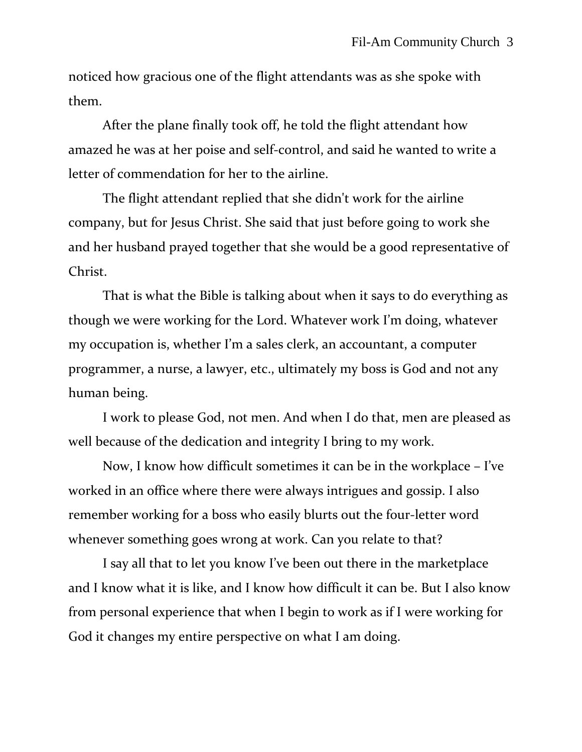noticed how gracious one of the flight attendants was as she spoke with them.

After the plane finally took off, he told the flight attendant how amazed he was at her poise and self-control, and said he wanted to write a letter of commendation for her to the airline.

The flight attendant replied that she didn't work for the airline company, but for Jesus Christ. She said that just before going to work she and her husband prayed together that she would be a good representative of Christ.

That is what the Bible is talking about when it says to do everything as though we were working for the Lord. Whatever work I'm doing, whatever my occupation is, whether I'm a sales clerk, an accountant, a computer programmer, a nurse, a lawyer, etc., ultimately my boss is God and not any human being.

I work to please God, not men. And when I do that, men are pleased as well because of the dedication and integrity I bring to my work.

Now, I know how difficult sometimes it can be in the workplace – I've worked in an office where there were always intrigues and gossip. I also remember working for a boss who easily blurts out the four-letter word whenever something goes wrong at work. Can you relate to that?

I say all that to let you know I've been out there in the marketplace and I know what it is like, and I know how difficult it can be. But I also know from personal experience that when I begin to work as if I were working for God it changes my entire perspective on what I am doing.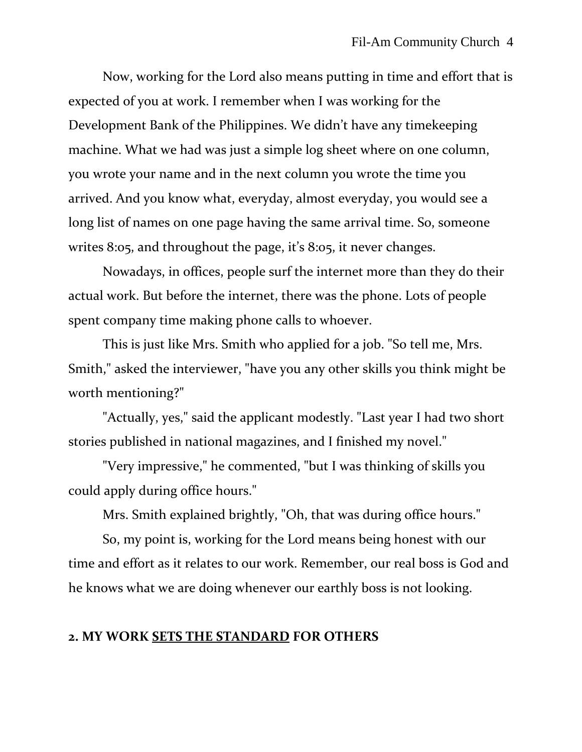Now, working for the Lord also means putting in time and effort that is expected of you at work. I remember when I was working for the Development Bank of the Philippines. We didn't have any timekeeping machine. What we had was just a simple log sheet where on one column, you wrote your name and in the next column you wrote the time you arrived. And you know what, everyday, almost everyday, you would see a long list of names on one page having the same arrival time. So, someone writes 8:05, and throughout the page, it's 8:05, it never changes.

Nowadays, in offices, people surf the internet more than they do their actual work. But before the internet, there was the phone. Lots of people spent company time making phone calls to whoever.

This is just like Mrs. Smith who applied for a job. "So tell me, Mrs. Smith," asked the interviewer, "have you any other skills you think might be worth mentioning?"

"Actually, yes," said the applicant modestly. "Last year I had two short stories published in national magazines, and I finished my novel."

"Very impressive," he commented, "but I was thinking of skills you could apply during office hours."

Mrs. Smith explained brightly, "Oh, that was during office hours."

So, my point is, working for the Lord means being honest with our time and effort as it relates to our work. Remember, our real boss is God and he knows what we are doing whenever our earthly boss is not looking.

# **2. MY WORK SETS THE STANDARD FOR OTHERS**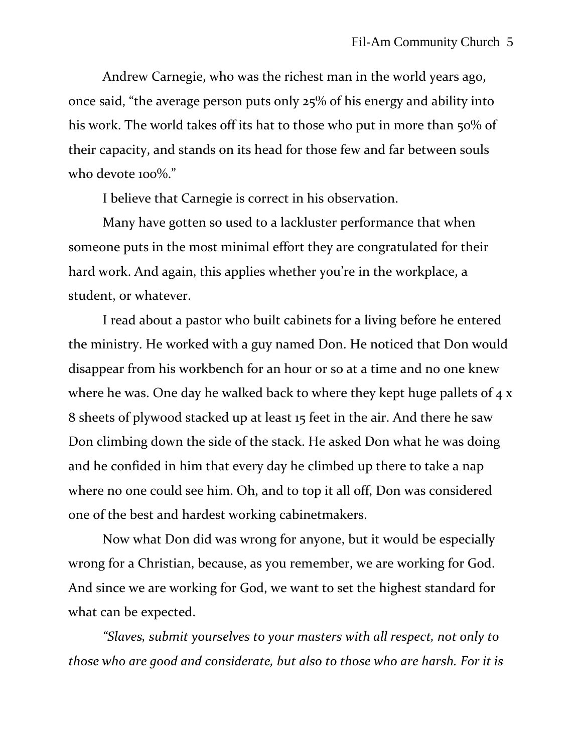Andrew Carnegie, who was the richest man in the world years ago, once said, "the average person puts only 25% of his energy and ability into his work. The world takes off its hat to those who put in more than 50% of their capacity, and stands on its head for those few and far between souls who devote 100%."

I believe that Carnegie is correct in his observation.

Many have gotten so used to a lackluster performance that when someone puts in the most minimal effort they are congratulated for their hard work. And again, this applies whether you're in the workplace, a student, or whatever.

I read about a pastor who built cabinets for a living before he entered the ministry. He worked with a guy named Don. He noticed that Don would disappear from his workbench for an hour or so at a time and no one knew where he was. One day he walked back to where they kept huge pallets of  $4 x$ 8 sheets of plywood stacked up at least 15 feet in the air. And there he saw Don climbing down the side of the stack. He asked Don what he was doing and he confided in him that every day he climbed up there to take a nap where no one could see him. Oh, and to top it all off, Don was considered one of the best and hardest working cabinetmakers.

Now what Don did was wrong for anyone, but it would be especially wrong for a Christian, because, as you remember, we are working for God. And since we are working for God, we want to set the highest standard for what can be expected.

*"Slaves, submit yourselves to your masters with all respect, not only to those who are good and considerate, but also to those who are harsh. For it is*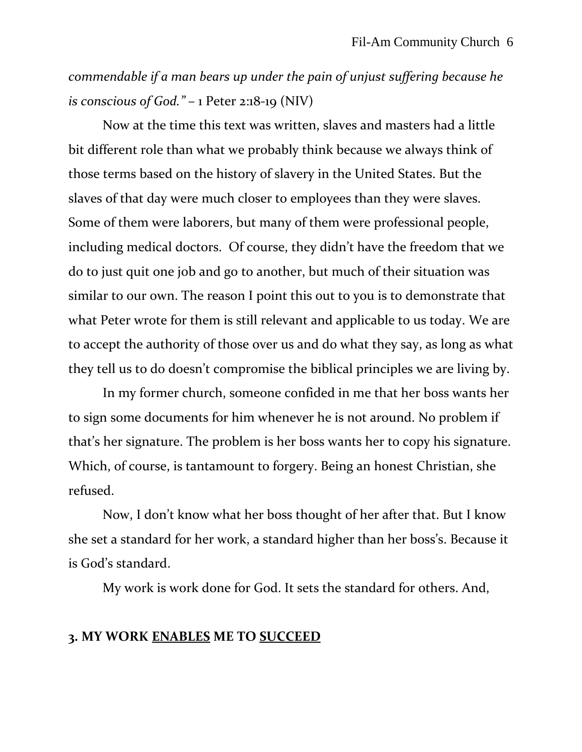*commendable if a man bears up under the pain of unjust suffering because he is conscious of God."* – 1 Peter 2:18-19 (NIV)

Now at the time this text was written, slaves and masters had a little bit different role than what we probably think because we always think of those terms based on the history of slavery in the United States. But the slaves of that day were much closer to employees than they were slaves. Some of them were laborers, but many of them were professional people, including medical doctors. Of course, they didn't have the freedom that we do to just quit one job and go to another, but much of their situation was similar to our own. The reason I point this out to you is to demonstrate that what Peter wrote for them is still relevant and applicable to us today. We are to accept the authority of those over us and do what they say, as long as what they tell us to do doesn't compromise the biblical principles we are living by.

In my former church, someone confided in me that her boss wants her to sign some documents for him whenever he is not around. No problem if that's her signature. The problem is her boss wants her to copy his signature. Which, of course, is tantamount to forgery. Being an honest Christian, she refused.

Now, I don't know what her boss thought of her after that. But I know she set a standard for her work, a standard higher than her boss's. Because it is God's standard.

My work is work done for God. It sets the standard for others. And,

## **3. MY WORK ENABLES ME TO SUCCEED**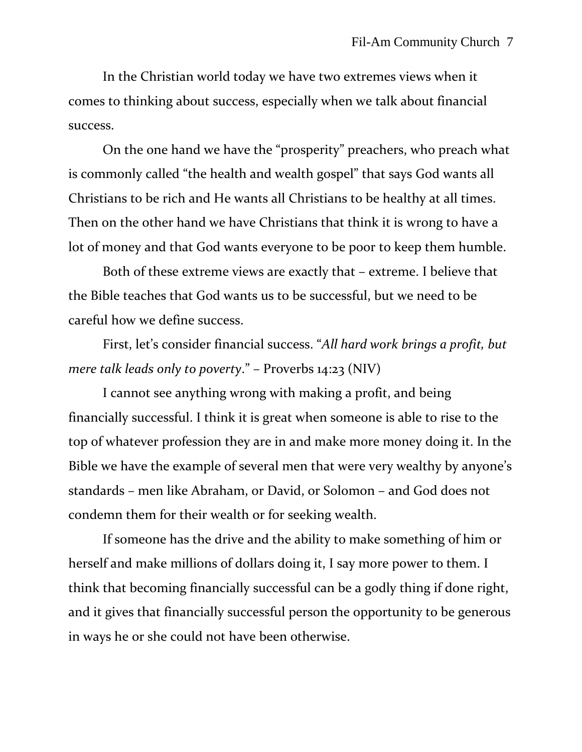In the Christian world today we have two extremes views when it comes to thinking about success, especially when we talk about financial success.

On the one hand we have the "prosperity" preachers, who preach what is commonly called "the health and wealth gospel" that says God wants all Christians to be rich and He wants all Christians to be healthy at all times. Then on the other hand we have Christians that think it is wrong to have a lot of money and that God wants everyone to be poor to keep them humble.

Both of these extreme views are exactly that – extreme. I believe that the Bible teaches that God wants us to be successful, but we need to be careful how we define success.

First, let's consider financial success. "*All hard work brings a profit, but mere talk leads only to poverty*." – Proverbs 14:23 (NIV)

I cannot see anything wrong with making a profit, and being financially successful. I think it is great when someone is able to rise to the top of whatever profession they are in and make more money doing it. In the Bible we have the example of several men that were very wealthy by anyone's standards – men like Abraham, or David, or Solomon – and God does not condemn them for their wealth or for seeking wealth.

If someone has the drive and the ability to make something of him or herself and make millions of dollars doing it, I say more power to them. I think that becoming financially successful can be a godly thing if done right, and it gives that financially successful person the opportunity to be generous in ways he or she could not have been otherwise.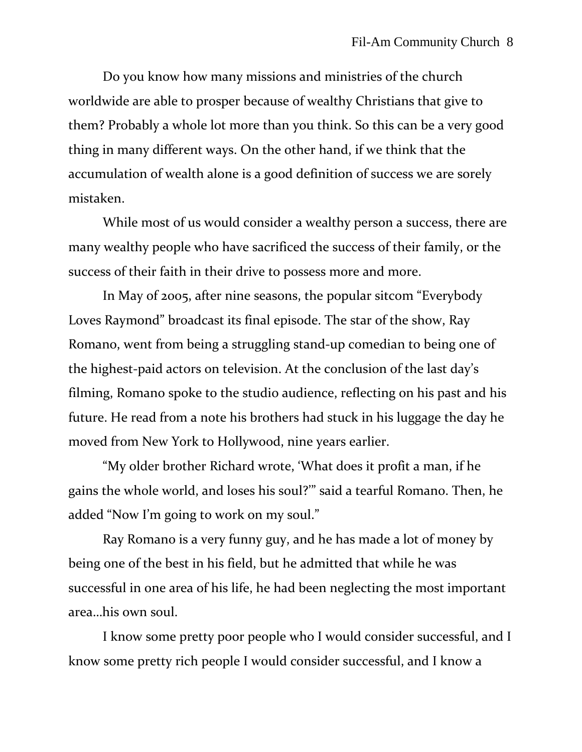Do you know how many missions and ministries of the church worldwide are able to prosper because of wealthy Christians that give to them? Probably a whole lot more than you think. So this can be a very good thing in many different ways. On the other hand, if we think that the accumulation of wealth alone is a good definition of success we are sorely mistaken.

While most of us would consider a wealthy person a success, there are many wealthy people who have sacrificed the success of their family, or the success of their faith in their drive to possess more and more.

In May of 2005, after nine seasons, the popular sitcom "Everybody Loves Raymond" broadcast its final episode. The star of the show, Ray Romano, went from being a struggling stand-up comedian to being one of the highest-paid actors on television. At the conclusion of the last day's filming, Romano spoke to the studio audience, reflecting on his past and his future. He read from a note his brothers had stuck in his luggage the day he moved from New York to Hollywood, nine years earlier.

"My older brother Richard wrote, 'What does it profit a man, if he gains the whole world, and loses his soul?'" said a tearful Romano. Then, he added "Now I'm going to work on my soul."

Ray Romano is a very funny guy, and he has made a lot of money by being one of the best in his field, but he admitted that while he was successful in one area of his life, he had been neglecting the most important area…his own soul.

I know some pretty poor people who I would consider successful, and I know some pretty rich people I would consider successful, and I know a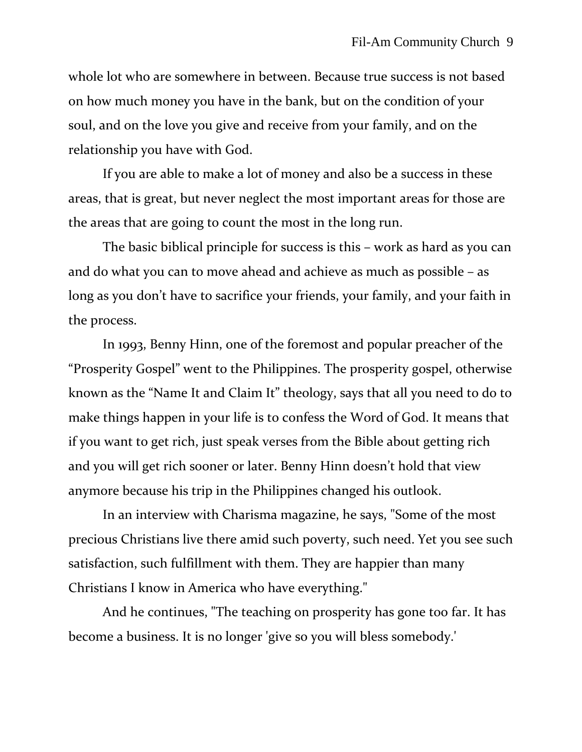whole lot who are somewhere in between. Because true success is not based on how much money you have in the bank, but on the condition of your soul, and on the love you give and receive from your family, and on the relationship you have with God.

If you are able to make a lot of money and also be a success in these areas, that is great, but never neglect the most important areas for those are the areas that are going to count the most in the long run.

The basic biblical principle for success is this – work as hard as you can and do what you can to move ahead and achieve as much as possible – as long as you don't have to sacrifice your friends, your family, and your faith in the process.

In 1993, Benny Hinn, one of the foremost and popular preacher of the "Prosperity Gospel" went to the Philippines. The prosperity gospel, otherwise known as the "Name It and Claim It" theology, says that all you need to do to make things happen in your life is to confess the Word of God. It means that if you want to get rich, just speak verses from the Bible about getting rich and you will get rich sooner or later. Benny Hinn doesn't hold that view anymore because his trip in the Philippines changed his outlook.

In an interview with Charisma magazine, he says, "Some of the most precious Christians live there amid such poverty, such need. Yet you see such satisfaction, such fulfillment with them. They are happier than many Christians I know in America who have everything."

And he continues, "The teaching on prosperity has gone too far. It has become a business. It is no longer 'give so you will bless somebody.'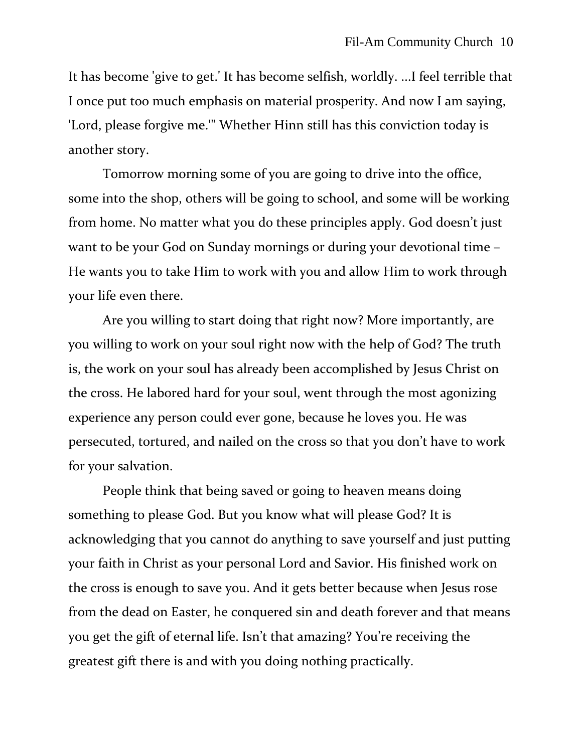It has become 'give to get.' It has become selfish, worldly. ...I feel terrible that I once put too much emphasis on material prosperity. And now I am saying, 'Lord, please forgive me.'" Whether Hinn still has this conviction today is another story.

Tomorrow morning some of you are going to drive into the office, some into the shop, others will be going to school, and some will be working from home. No matter what you do these principles apply. God doesn't just want to be your God on Sunday mornings or during your devotional time – He wants you to take Him to work with you and allow Him to work through your life even there.

Are you willing to start doing that right now? More importantly, are you willing to work on your soul right now with the help of God? The truth is, the work on your soul has already been accomplished by Jesus Christ on the cross. He labored hard for your soul, went through the most agonizing experience any person could ever gone, because he loves you. He was persecuted, tortured, and nailed on the cross so that you don't have to work for your salvation.

People think that being saved or going to heaven means doing something to please God. But you know what will please God? It is acknowledging that you cannot do anything to save yourself and just putting your faith in Christ as your personal Lord and Savior. His finished work on the cross is enough to save you. And it gets better because when Jesus rose from the dead on Easter, he conquered sin and death forever and that means you get the gift of eternal life. Isn't that amazing? You're receiving the greatest gift there is and with you doing nothing practically.